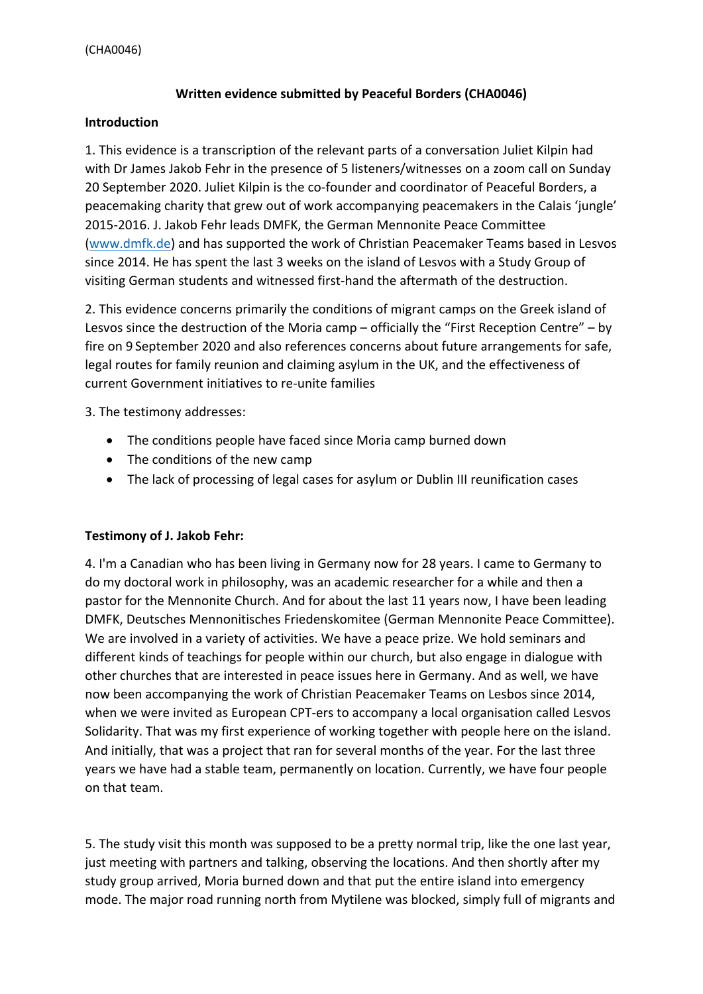## **Written evidence submitted by Peaceful Borders (CHA0046)**

## **Introduction**

1. This evidence is a transcription of the relevant parts of a conversation Juliet Kilpin had with Dr James Jakob Fehr in the presence of 5 listeners/witnesses on a zoom call on Sunday 20 September 2020. Juliet Kilpin is the co-founder and coordinator of Peaceful Borders, a peacemaking charity that grew out of work accompanying peacemakers in the Calais 'jungle' 2015-2016. J. Jakob Fehr leads DMFK, the German Mennonite Peace Committee ([www.dmfk.de\)](http://www.dmfk.de/) and has supported the work of Christian Peacemaker Teams based in Lesvos since 2014. He has spent the last 3 weeks on the island of Lesvos with a Study Group of visiting German students and witnessed first-hand the aftermath of the destruction.

2. This evidence concerns primarily the conditions of migrant camps on the Greek island of Lesvos since the destruction of the Moria camp – officially the "First Reception Centre" – by fire on 9 September 2020 and also references concerns about future arrangements for safe, legal routes for family reunion and claiming asylum in the UK, and the effectiveness of current Government initiatives to re-unite families

3. The testimony addresses:

- The conditions people have faced since Moria camp burned down
- The conditions of the new camp
- The lack of processing of legal cases for asylum or Dublin III reunification cases

## **Testimony of J. Jakob Fehr:**

4. I'm a Canadian who has been living in Germany now for 28 years. I came to Germany to do my doctoral work in philosophy, was an academic researcher for a while and then a pastor for the Mennonite Church. And for about the last 11 years now, I have been leading DMFK, Deutsches Mennonitisches Friedenskomitee (German Mennonite Peace Committee). We are involved in a variety of activities. We have a peace prize. We hold seminars and different kinds of teachings for people within our church, but also engage in dialogue with other churches that are interested in peace issues here in Germany. And as well, we have now been accompanying the work of Christian Peacemaker Teams on Lesbos since 2014, when we were invited as European CPT-ers to accompany a local organisation called Lesvos Solidarity. That was my first experience of working together with people here on the island. And initially, that was a project that ran for several months of the year. For the last three years we have had a stable team, permanently on location. Currently, we have four people on that team.

5. The study visit this month was supposed to be a pretty normal trip, like the one last year, just meeting with partners and talking, observing the locations. And then shortly after my study group arrived, Moria burned down and that put the entire island into emergency mode. The major road running north from Mytilene was blocked, simply full of migrants and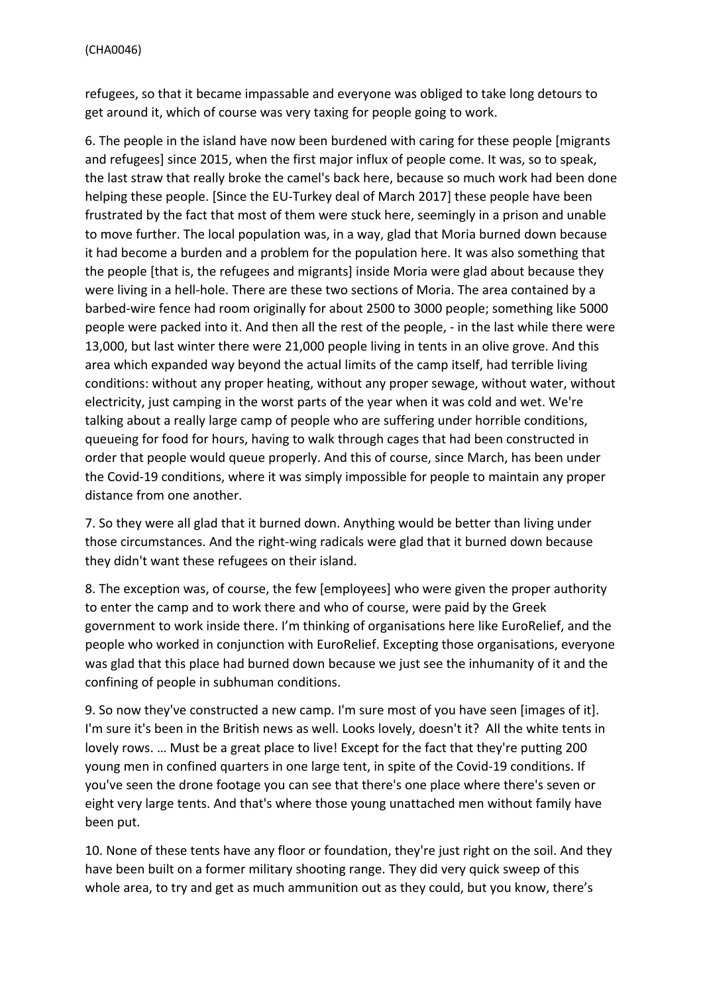refugees, so that it became impassable and everyone was obliged to take long detours to get around it, which of course was very taxing for people going to work.

6. The people in the island have now been burdened with caring for these people [migrants and refugees] since 2015, when the first major influx of people come. It was, so to speak, the last straw that really broke the camel's back here, because so much work had been done helping these people. [Since the EU-Turkey deal of March 2017] these people have been frustrated by the fact that most of them were stuck here, seemingly in a prison and unable to move further. The local population was, in a way, glad that Moria burned down because it had become a burden and a problem for the population here. It was also something that the people [that is, the refugees and migrants] inside Moria were glad about because they were living in a hell-hole. There are these two sections of Moria. The area contained by a barbed-wire fence had room originally for about 2500 to 3000 people; something like 5000 people were packed into it. And then all the rest of the people, - in the last while there were 13,000, but last winter there were 21,000 people living in tents in an olive grove. And this area which expanded way beyond the actual limits of the camp itself, had terrible living conditions: without any proper heating, without any proper sewage, without water, without electricity, just camping in the worst parts of the year when it was cold and wet. We're talking about a really large camp of people who are suffering under horrible conditions, queueing for food for hours, having to walk through cages that had been constructed in order that people would queue properly. And this of course, since March, has been under the Covid-19 conditions, where it was simply impossible for people to maintain any proper distance from one another.

7. So they were all glad that it burned down. Anything would be better than living under those circumstances. And the right-wing radicals were glad that it burned down because they didn't want these refugees on their island.

8. The exception was, of course, the few [employees] who were given the proper authority to enter the camp and to work there and who of course, were paid by the Greek government to work inside there. I'm thinking of organisations here like EuroRelief, and the people who worked in conjunction with EuroRelief. Excepting those organisations, everyone was glad that this place had burned down because we just see the inhumanity of it and the confining of people in subhuman conditions.

9. So now they've constructed a new camp. I'm sure most of you have seen [images of it]. I'm sure it's been in the British news as well. Looks lovely, doesn't it? All the white tents in lovely rows. ... Must be a great place to live! Except for the fact that they're putting 200 young men in confined quarters in one large tent, in spite of the Covid-19 conditions. If you've seen the drone footage you can see that there's one place where there's seven or eight very large tents. And that's where those young unattached men without family have been put.

10. None of these tents have any floor or foundation, they're just right on the soil. And they have been built on a former military shooting range. They did very quick sweep of this whole area, to try and get as much ammunition out as they could, but you know, there's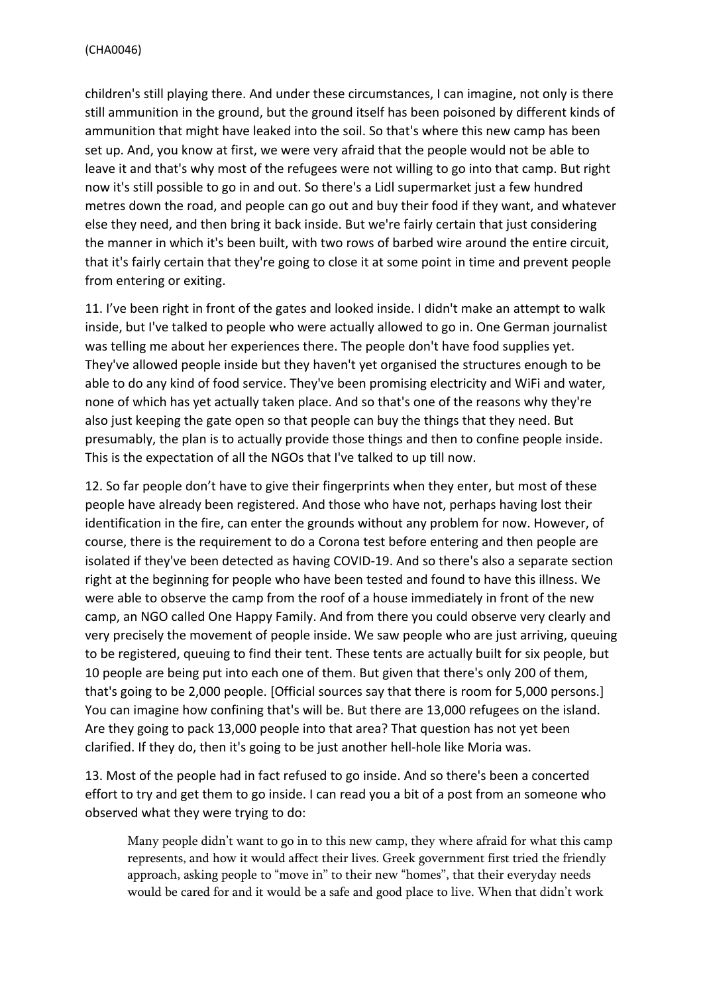children's still playing there. And under these circumstances, I can imagine, not only is there still ammunition in the ground, but the ground itself has been poisoned by different kinds of ammunition that might have leaked into the soil. So that's where this new camp has been set up. And, you know at first, we were very afraid that the people would not be able to leave it and that's why most of the refugees were not willing to go into that camp. But right now it's still possible to go in and out. So there's a Lidl supermarket just a few hundred metres down the road, and people can go out and buy their food if they want, and whatever else they need, and then bring it back inside. But we're fairly certain that just considering the manner in which it's been built, with two rows of barbed wire around the entire circuit, that it's fairly certain that they're going to close it at some point in time and prevent people from entering or exiting.

11. I've been right in front of the gates and looked inside. I didn't make an attempt to walk inside, but I've talked to people who were actually allowed to go in. One German journalist was telling me about her experiences there. The people don't have food supplies yet. They've allowed people inside but they haven't yet organised the structures enough to be able to do any kind of food service. They've been promising electricity and WiFi and water, none of which has yet actually taken place. And so that's one of the reasons why they're also just keeping the gate open so that people can buy the things that they need. But presumably, the plan is to actually provide those things and then to confine people inside. This is the expectation of all the NGOs that I've talked to up till now.

12. So far people don't have to give their fingerprints when they enter, but most of these people have already been registered. And those who have not, perhaps having lost their identification in the fire, can enter the grounds without any problem for now. However, of course, there is the requirement to do a Corona test before entering and then people are isolated if they've been detected as having COVID-19. And so there's also a separate section right at the beginning for people who have been tested and found to have this illness. We were able to observe the camp from the roof of a house immediately in front of the new camp, an NGO called One Happy Family. And from there you could observe very clearly and very precisely the movement of people inside. We saw people who are just arriving, queuing to be registered, queuing to find their tent. These tents are actually built for six people, but 10 people are being put into each one of them. But given that there's only 200 of them, that's going to be 2,000 people. [Official sources say that there is room for 5,000 persons.] You can imagine how confining that's will be. But there are 13,000 refugees on the island. Are they going to pack 13,000 people into that area? That question has not yet been clarified. If they do, then it's going to be just another hell-hole like Moria was.

13. Most of the people had in fact refused to go inside. And so there's been a concerted effort to try and get them to go inside. I can read you a bit of a post from an someone who observed what they were trying to do:

Many people didn't want to go in to this new camp, they where afraid for what this camp represents, and how it would affect their lives. Greek government first tried the friendly approach, asking people to "move in" to their new "homes", that their everyday needs would be cared for and it would be a safe and good place to live. When that didn't work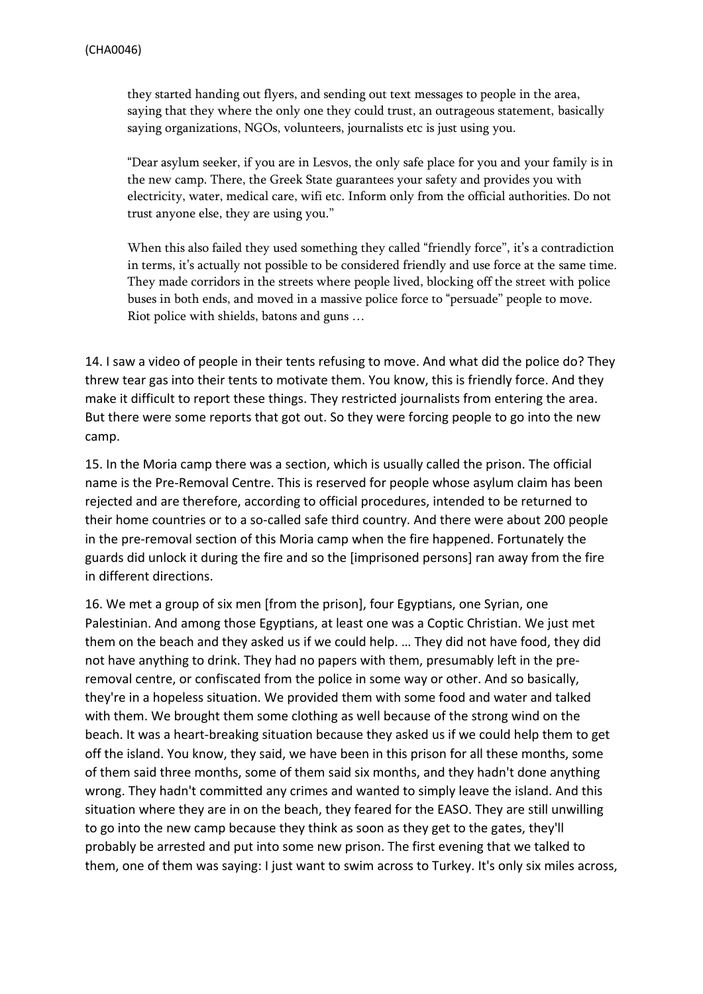they started handing out flyers, and sending out text messages to people in the area, saying that they where the only one they could trust, an outrageous statement, basically saying organizations, NGOs, volunteers, journalists etc is just using you.

"Dear asylum seeker, if you are in Lesvos, the only safe place for you and your family is in the new camp. There, the Greek State guarantees your safety and provides you with electricity, water, medical care, wifi etc. Inform only from the official authorities. Do not trust anyone else, they are using you."

When this also failed they used something they called "friendly force", it's a contradiction in terms, it's actually not possible to be considered friendly and use force at the same time. They made corridors in the streets where people lived, blocking off the street with police buses in both ends, and moved in a massive police force to "persuade" people to move. Riot police with shields, batons and guns …

14. I saw a video of people in their tents refusing to move. And what did the police do? They threw tear gas into their tents to motivate them. You know, this is friendly force. And they make it difficult to report these things. They restricted journalists from entering the area. But there were some reports that got out. So they were forcing people to go into the new camp.

15. In the Moria camp there was a section, which is usually called the prison. The official name is the Pre-Removal Centre. This is reserved for people whose asylum claim has been rejected and are therefore, according to official procedures, intended to be returned to their home countries or to a so-called safe third country. And there were about 200 people in the pre-removal section of this Moria camp when the fire happened. Fortunately the guards did unlock it during the fire and so the [imprisoned persons] ran away from the fire in different directions.

16. We met a group of six men [from the prison], four Egyptians, one Syrian, one Palestinian. And among those Egyptians, at least one was a Coptic Christian. We just met them on the beach and they asked us if we could help. … They did not have food, they did not have anything to drink. They had no papers with them, presumably left in the preremoval centre, or confiscated from the police in some way or other. And so basically, they're in a hopeless situation. We provided them with some food and water and talked with them. We brought them some clothing as well because of the strong wind on the beach. It was a heart-breaking situation because they asked us if we could help them to get off the island. You know, they said, we have been in this prison for all these months, some of them said three months, some of them said six months, and they hadn't done anything wrong. They hadn't committed any crimes and wanted to simply leave the island. And this situation where they are in on the beach, they feared for the EASO. They are still unwilling to go into the new camp because they think as soon as they get to the gates, they'll probably be arrested and put into some new prison. The first evening that we talked to them, one of them was saying: I just want to swim across to Turkey. It's only six miles across,